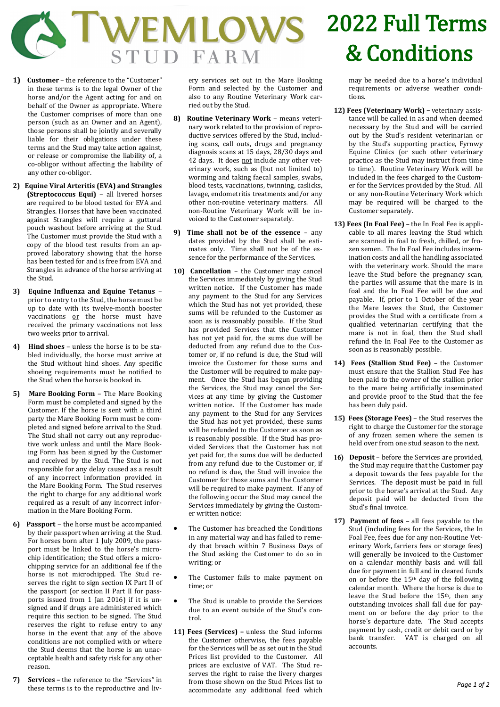

- **1) Customer** the reference to the "Customer" in these terms is to the legal Owner of the horse and/or the Agent acting for and on behalf of the Owner as appropriate. Where the Customer comprises of more than one person (such as an Owner and an Agent), those persons shall be jointly and severally liable for their obligations under these terms and the Stud may take action against, or release or compromise the liability of, a co-obligor without affecting the liability of any other co-obligor.
- **2) Equine Viral Arteritis (EVA) and Strangles (Streptococcus Equi)** – all livered horses are required to be blood tested for EVA and Strangles. Horses that have been vaccinated against Strangles will require a guttural pouch washout before arriving at the Stud. The Customer must provide the Stud with a copy of the blood test results from an approved laboratory showing that the horse has been tested for and is free from EVA and Strangles in advance of the horse arriving at the Stud.
- **3) Equine Influenza and Equine Tetanus** prior to entry to the Stud, the horse must be up to date with its twelve-month booster vaccinations or the horse must have received the primary vaccinations not less two weeks prior to arrival.
- **4) Hind shoes** unless the horse is to be stabled individually, the horse must arrive at the Stud without hind shoes. Any specific shoeing requirements must be notified to the Stud when the horse is booked in.
- **5) Mare Booking Form** The Mare Booking Form must be completed and signed by the Customer. If the horse is sent with a third party the Mare Booking Form must be completed and signed before arrival to the Stud. The Stud shall not carry out any reproductive work unless and until the Mare Booking Form has been signed by the Customer and received by the Stud. The Stud is not responsible for any delay caused as a result of any incorrect information provided in the Mare Booking Form. The Stud reserves the right to charge for any additional work required as a result of any incorrect information in the Mare Booking Form.
- **6) Passport** the horse must be accompanied by their passport when arriving at the Stud. For horses born after 1 July 2009, the passport must be linked to the horse's microchip identification; the Stud offers a microchipping service for an additional fee if the horse is not microchipped. The Stud reserves the right to sign section IX Part II of the passport (or section II Part II for passports issued from 1 Jan 2016) if it is unsigned and if drugs are administered which require this section to be signed. The Stud reserves the right to refuse entry to any horse in the event that any of the above conditions are not complied with or where the Stud deems that the horse is an unacceptable health and safety risk for any other reason.
- **7) Services –** the reference to the "Services" in these terms is to the reproductive and liv-

ery services set out in the Mare Booking Form and selected by the Customer and also to any Routine Veterinary Work carried out by the Stud.

- **8) Routine Veterinary Work** means veterinary work related to the provision of reproductive services offered by the Stud, including scans, call outs, drugs and pregnancy diagnosis scans at 15 days, 28/30 days and 42 days. It does not include any other veterinary work, such as (but not limited to) worming and taking faecal samples, swabs, blood tests, vaccinations, twinning, caslicks, lavage, endometritis treatments and/or any other non-routine veterinary matters. All non-Routine Veterinary Work will be invoiced to the Customer separately.
- **9) Time shall not be of the essence** any dates provided by the Stud shall be estimates only. Time shall not be of the essence for the performance of the Services.
- **10) Cancellation** the Customer may cancel the Services immediately by giving the Stud written notice. If the Customer has made any payment to the Stud for any Services which the Stud has not yet provided, these sums will be refunded to the Customer as soon as is reasonably possible. If the Stud has provided Services that the Customer has not yet paid for, the sums due will be deducted from any refund due to the Customer or, if no refund is due, the Stud will invoice the Customer for those sums and the Customer will be required to make payment. Once the Stud has begun providing the Services, the Stud may cancel the Services at any time by giving the Customer written notice. If the Customer has made any payment to the Stud for any Services the Stud has not yet provided, these sums will be refunded to the Customer as soon as is reasonably possible. If the Stud has provided Services that the Customer has not yet paid for, the sums due will be deducted from any refund due to the Customer or, if no refund is due, the Stud will invoice the Customer for those sums and the Customer will be required to make payment. If any of the following occur the Stud may cancel the Services immediately by giving the Customer written notice:
	- The Customer has breached the Conditions in any material way and has failed to remedy that breach within 7 Business Days of the Stud asking the Customer to do so in writing; or
- The Customer fails to make payment on time; or
- The Stud is unable to provide the Services due to an event outside of the Stud's control.
- **11) Fees (Services) –** unless the Stud informs the Customer otherwise, the fees payable for the Services will be as set out in the Stud Prices list provided to the Customer. All prices are exclusive of VAT. The Stud reserves the right to raise the livery charges from those shown on the Stud Prices list to accommodate any additional feed which

## 2022 Full Terms & Conditions

may be needed due to a horse's individual requirements or adverse weather conditions.

- **12) Fees (Veterinary Work) –** veterinary assistance will be called in as and when deemed necessary by the Stud and will be carried out by the Stud's resident veterinarian or by the Stud's supporting practice, Fyrnwy Equine Clinics (or such other veterinary practice as the Stud may instruct from time to time). Routine Veterinary Work will be included in the fees charged to the Customer for the Services provided by the Stud. All or any non-Routine Veterinary Work which may be required will be charged to the Customer separately.
- **13) Fees (In Foal Fee) –** the In Foal Fee is applicable to all mares leaving the Stud which are scanned in foal to fresh, chilled, or frozen semen. The In Foal Fee includes insemination costs and all the handling associated with the veterinary work. Should the mare leave the Stud before the pregnancy scan, the parties will assume that the mare is in foal and the In Foal Fee will be due and payable. If, prior to 1 October of the year the Mare leaves the Stud, the Customer provides the Stud with a certificate from a qualified veterinarian certifying that the mare is not in foal, then the Stud shall refund the In Foal Fee to the Customer as soon as is reasonably possible.
- **14) Fees (Stallion Stud Fee) –** the Customer must ensure that the Stallion Stud Fee has been paid to the owner of the stallion prior to the mare being artificially inseminated and provide proof to the Stud that the fee has been duly paid.
- **15) Fees (Storage Fees)** the Stud reserves the right to charge the Customer for the storage of any frozen semen where the semen is held over from one stud season to the next.
- ) **Deposit**  before the Services are provided, the Stud may require that the Customer pay a deposit towards the fees payable for the Services. The deposit must be paid in full prior to the horse's arrival at the Stud. Any deposit paid will be deducted from the Stud's final invoice.
- **17) Payment of fees –** all fees payable to the Stud (including fees for the Services, the In Foal Fee, fees due for any non-Routine Veterinary Work, farriers fees or storage fees) will generally be invoiced to the Customer on a calendar monthly basis and will fall due for payment in full and in cleared funds on or before the 15th day of the following calendar month. Where the horse is due to leave the Stud before the 15th, then any outstanding invoices shall fall due for payment on or before the day prior to the horse's departure date. The Stud accepts payment by cash, credit or debit card or by bank transfer. VAT is charged on all accounts.